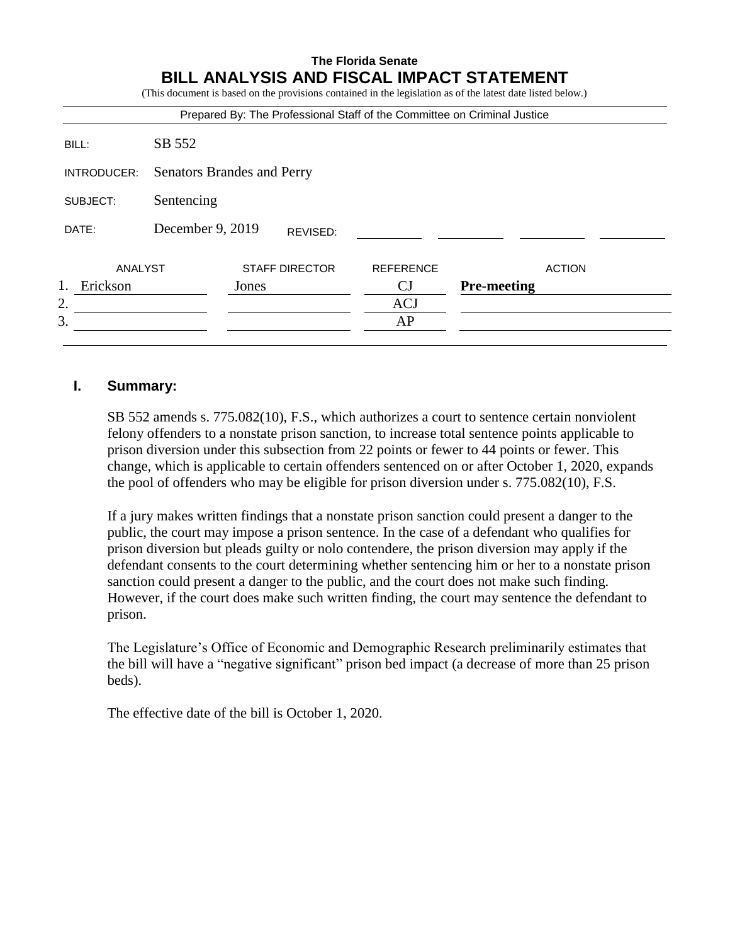## **The Florida Senate BILL ANALYSIS AND FISCAL IMPACT STATEMENT**

(This document is based on the provisions contained in the legislation as of the latest date listed below.)

| Prepared By: The Professional Staff of the Committee on Criminal Justice |                                   |       |                       |                  |                    |  |
|--------------------------------------------------------------------------|-----------------------------------|-------|-----------------------|------------------|--------------------|--|
| BILL:                                                                    | SB 552                            |       |                       |                  |                    |  |
| INTRODUCER:                                                              | <b>Senators Brandes and Perry</b> |       |                       |                  |                    |  |
| SUBJECT:                                                                 | Sentencing                        |       |                       |                  |                    |  |
| DATE:                                                                    | December 9, 2019<br>REVISED:      |       |                       |                  |                    |  |
| ANALYST                                                                  |                                   |       | <b>STAFF DIRECTOR</b> | <b>REFERENCE</b> | <b>ACTION</b>      |  |
| 1.<br>Erickson                                                           |                                   | Jones |                       | CJ               | <b>Pre-meeting</b> |  |
| 2.                                                                       |                                   |       |                       | <b>ACJ</b>       |                    |  |
| 3.                                                                       |                                   |       |                       | AP               |                    |  |
|                                                                          |                                   |       |                       |                  |                    |  |

#### **I. Summary:**

SB 552 amends s. 775.082(10), F.S., which authorizes a court to sentence certain nonviolent felony offenders to a nonstate prison sanction, to increase total sentence points applicable to prison diversion under this subsection from 22 points or fewer to 44 points or fewer. This change, which is applicable to certain offenders sentenced on or after October 1, 2020, expands the pool of offenders who may be eligible for prison diversion under s. 775.082(10), F.S.

If a jury makes written findings that a nonstate prison sanction could present a danger to the public, the court may impose a prison sentence. In the case of a defendant who qualifies for prison diversion but pleads guilty or nolo contendere, the prison diversion may apply if the defendant consents to the court determining whether sentencing him or her to a nonstate prison sanction could present a danger to the public, and the court does not make such finding. However, if the court does make such written finding, the court may sentence the defendant to prison.

The Legislature's Office of Economic and Demographic Research preliminarily estimates that the bill will have a "negative significant" prison bed impact (a decrease of more than 25 prison beds).

The effective date of the bill is October 1, 2020.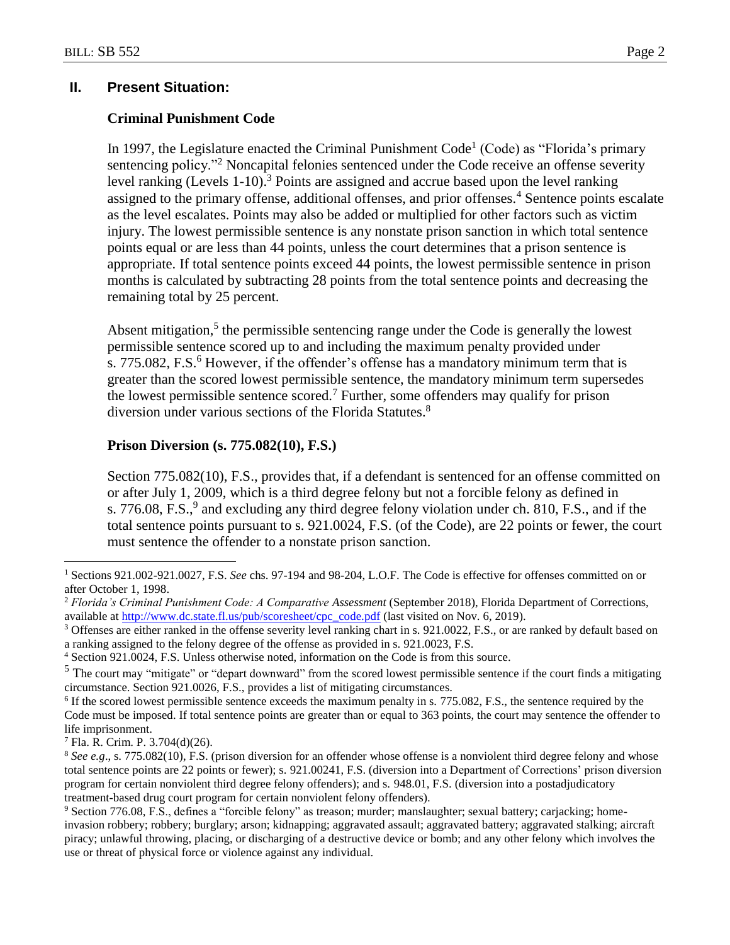#### **II. Present Situation:**

#### **Criminal Punishment Code**

In 1997, the Legislature enacted the Criminal Punishment Code<sup>1</sup> (Code) as "Florida's primary sentencing policy."<sup>2</sup> Noncapital felonies sentenced under the Code receive an offense severity level ranking (Levels 1-10).<sup>3</sup> Points are assigned and accrue based upon the level ranking assigned to the primary offense, additional offenses, and prior offenses.<sup>4</sup> Sentence points escalate as the level escalates. Points may also be added or multiplied for other factors such as victim injury. The lowest permissible sentence is any nonstate prison sanction in which total sentence points equal or are less than 44 points, unless the court determines that a prison sentence is appropriate. If total sentence points exceed 44 points, the lowest permissible sentence in prison months is calculated by subtracting 28 points from the total sentence points and decreasing the remaining total by 25 percent.

Absent mitigation, $5$  the permissible sentencing range under the Code is generally the lowest permissible sentence scored up to and including the maximum penalty provided under s. 775.082, F.S. $<sup>6</sup>$  However, if the offender's offense has a mandatory minimum term that is</sup> greater than the scored lowest permissible sentence, the mandatory minimum term supersedes the lowest permissible sentence scored.<sup>7</sup> Further, some offenders may qualify for prison diversion under various sections of the Florida Statutes.<sup>8</sup>

#### **Prison Diversion (s. 775.082(10), F.S.)**

Section 775.082(10), F.S., provides that, if a defendant is sentenced for an offense committed on or after July 1, 2009, which is a third degree felony but not a forcible felony as defined in s. 776.08, F.S.,<sup>9</sup> and excluding any third degree felony violation under ch. 810, F.S., and if the total sentence points pursuant to s. 921.0024, F.S. (of the Code), are 22 points or fewer, the court must sentence the offender to a nonstate prison sanction.

 $\overline{a}$ 

<sup>1</sup> Sections 921.002-921.0027, F.S. *See* chs. 97-194 and 98-204, L.O.F. The Code is effective for offenses committed on or after October 1, 1998.

<sup>2</sup> *Florida's Criminal Punishment Code: A Comparative Assessment* (September 2018), Florida Department of Corrections, available at [http://www.dc.state.fl.us/pub/scoresheet/cpc\\_code.pdf](http://www.dc.state.fl.us/pub/scoresheet/cpc_code.pdf) (last visited on Nov. 6, 2019).

<sup>&</sup>lt;sup>3</sup> Offenses are either ranked in the offense severity level ranking chart in s. 921.0022, F.S., or are ranked by default based on a ranking assigned to the felony degree of the offense as provided in s. 921.0023, F.S.

<sup>4</sup> Section 921.0024, F.S. Unless otherwise noted, information on the Code is from this source.

 $<sup>5</sup>$  The court may "mitigate" or "depart downward" from the scored lowest permissible sentence if the court finds a mitigating</sup> circumstance. Section 921.0026, F.S., provides a list of mitigating circumstances.

<sup>&</sup>lt;sup>6</sup> If the scored lowest permissible sentence exceeds the maximum penalty in s. 775.082, F.S., the sentence required by the Code must be imposed. If total sentence points are greater than or equal to 363 points, the court may sentence the offender to life imprisonment.

<sup>7</sup> Fla. R. Crim. P. 3.704(d)(26).

<sup>8</sup> *See e.g*., s. 775.082(10), F.S. (prison diversion for an offender whose offense is a nonviolent third degree felony and whose total sentence points are 22 points or fewer); s. 921.00241, F.S. (diversion into a Department of Corrections' prison diversion program for certain nonviolent third degree felony offenders); and s. 948.01, F.S. (diversion into a postadjudicatory treatment-based drug court program for certain nonviolent felony offenders).

<sup>9</sup> Section 776.08, F.S., defines a "forcible felony" as treason; murder; manslaughter; sexual battery; carjacking; homeinvasion robbery; robbery; burglary; arson; kidnapping; aggravated assault; aggravated battery; aggravated stalking; aircraft piracy; unlawful throwing, placing, or discharging of a destructive device or bomb; and any other felony which involves the use or threat of physical force or violence against any individual.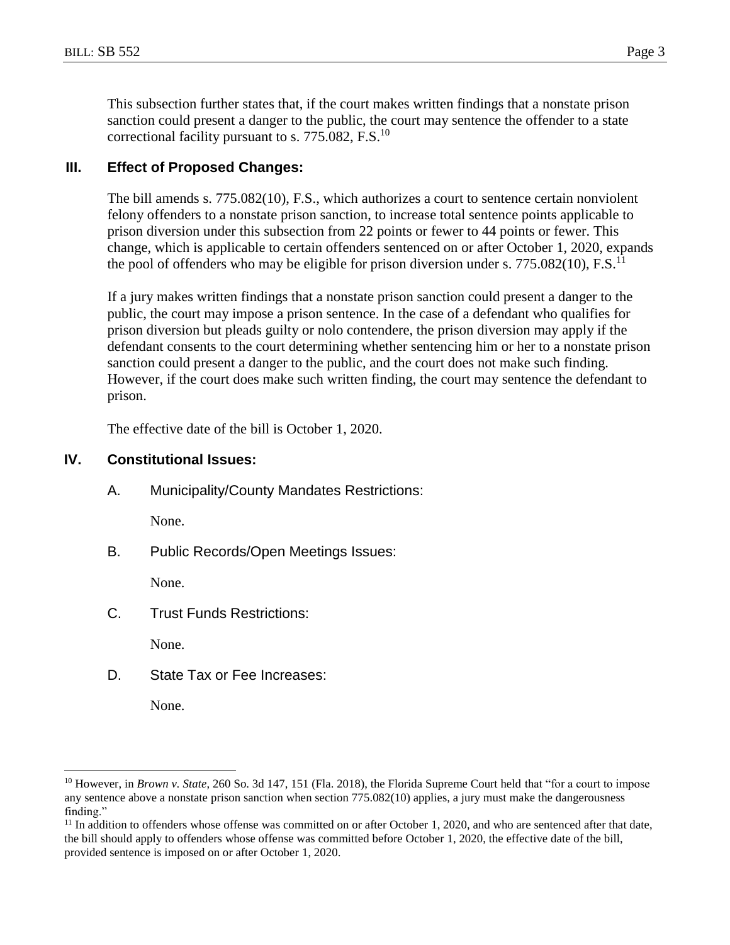This subsection further states that, if the court makes written findings that a nonstate prison sanction could present a danger to the public, the court may sentence the offender to a state correctional facility pursuant to s.  $775.082$ , F.S.<sup>10</sup>

## **III. Effect of Proposed Changes:**

The bill amends s. 775.082(10), F.S., which authorizes a court to sentence certain nonviolent felony offenders to a nonstate prison sanction, to increase total sentence points applicable to prison diversion under this subsection from 22 points or fewer to 44 points or fewer. This change, which is applicable to certain offenders sentenced on or after October 1, 2020, expands the pool of offenders who may be eligible for prison diversion under s. 775.082(10),  $F.S.<sup>11</sup>$ 

If a jury makes written findings that a nonstate prison sanction could present a danger to the public, the court may impose a prison sentence. In the case of a defendant who qualifies for prison diversion but pleads guilty or nolo contendere, the prison diversion may apply if the defendant consents to the court determining whether sentencing him or her to a nonstate prison sanction could present a danger to the public, and the court does not make such finding. However, if the court does make such written finding, the court may sentence the defendant to prison.

The effective date of the bill is October 1, 2020.

### **IV. Constitutional Issues:**

A. Municipality/County Mandates Restrictions:

None.

B. Public Records/Open Meetings Issues:

None.

C. Trust Funds Restrictions:

None.

D. State Tax or Fee Increases:

None.

 $\overline{a}$ 

<sup>&</sup>lt;sup>10</sup> However, in *Brown v. State*, 260 So. 3d 147, 151 (Fla. 2018), the Florida Supreme Court held that "for a court to impose any sentence above a nonstate prison sanction when section 775.082(10) applies, a jury must make the dangerousness finding."

 $11$  In addition to offenders whose offense was committed on or after October 1, 2020, and who are sentenced after that date, the bill should apply to offenders whose offense was committed before October 1, 2020, the effective date of the bill, provided sentence is imposed on or after October 1, 2020.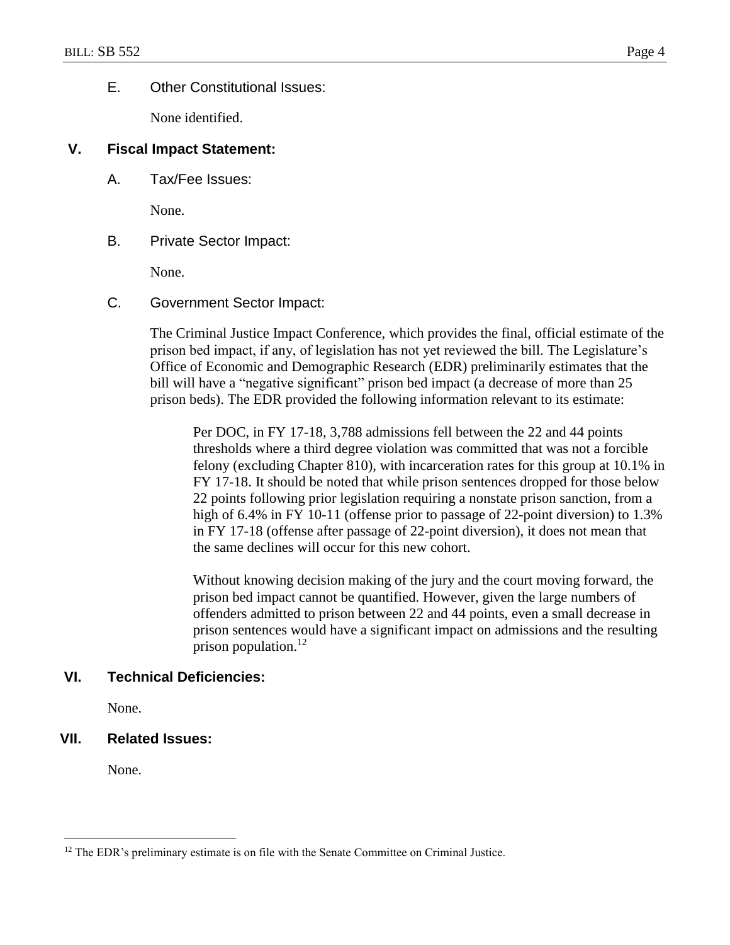## E. Other Constitutional Issues:

None identified.

### **V. Fiscal Impact Statement:**

A. Tax/Fee Issues:

None.

B. Private Sector Impact:

None.

C. Government Sector Impact:

The Criminal Justice Impact Conference, which provides the final, official estimate of the prison bed impact, if any, of legislation has not yet reviewed the bill. The Legislature's Office of Economic and Demographic Research (EDR) preliminarily estimates that the bill will have a "negative significant" prison bed impact (a decrease of more than 25 prison beds). The EDR provided the following information relevant to its estimate:

Per DOC, in FY 17-18, 3,788 admissions fell between the 22 and 44 points thresholds where a third degree violation was committed that was not a forcible felony (excluding Chapter 810), with incarceration rates for this group at 10.1% in FY 17-18. It should be noted that while prison sentences dropped for those below 22 points following prior legislation requiring a nonstate prison sanction, from a high of 6.4% in FY 10-11 (offense prior to passage of 22-point diversion) to 1.3% in FY 17-18 (offense after passage of 22-point diversion), it does not mean that the same declines will occur for this new cohort.

Without knowing decision making of the jury and the court moving forward, the prison bed impact cannot be quantified. However, given the large numbers of offenders admitted to prison between 22 and 44 points, even a small decrease in prison sentences would have a significant impact on admissions and the resulting prison population. $^{12}$ 

## **VI. Technical Deficiencies:**

None.

## **VII. Related Issues:**

None.

 $\overline{a}$ 

<sup>&</sup>lt;sup>12</sup> The EDR's preliminary estimate is on file with the Senate Committee on Criminal Justice.